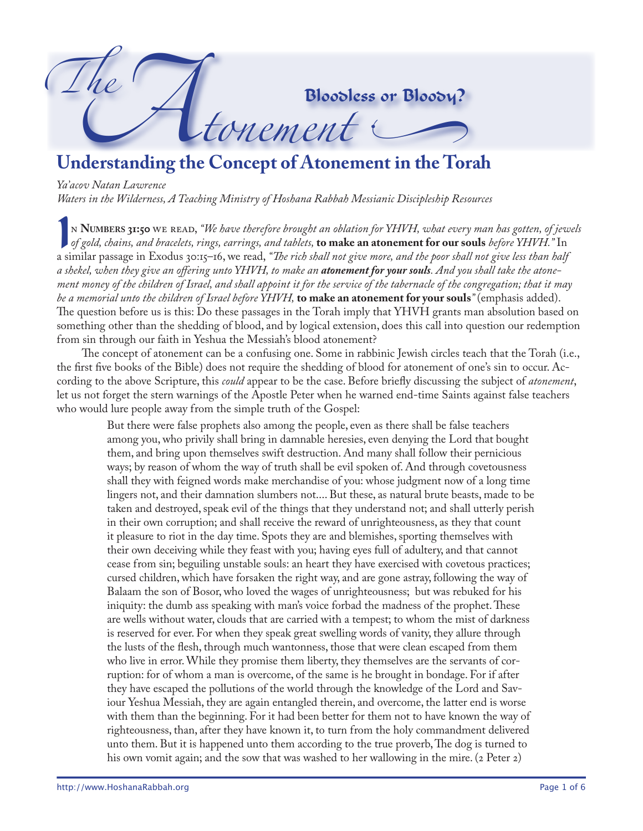

*Ya'acov Natan Lawrence Waters in the Wilderness, A Teaching Ministry of Hoshana Rabbah Messianic Discipleship Resources*

IN **NUMBERS 31:50** WE READ, "We have therefore brought an oblation for YHVH, what every man has gotten, of jew<br>of gold, chains, and bracelets, rings, earrings, and tablets, **to make an atonement for our souls** before YHVH. n **Numbers 31:50** we read, *"We have therefore brought an oblation for YHVH, what every man has gotten, of jewels of gold, chains, and bracelets, rings, earrings, and tablets,* **to make an atonement for our souls** *before YHVH."* In a shekel, when they give an offering unto YHVH, to make an **atonement for your souls**. And you shall take the atone*ment money of the children of Israel, and shall appoint it for the service of the tabernacle of the congregation; that it may be a memorial unto the children of Israel before YHVH,* **to make an atonement for your souls***"* (emphasis added). The question before us is this: Do these passages in the Torah imply that YHVH grants man absolution based on something other than the shedding of blood, and by logical extension, does this call into question our redemption from sin through our faith in Yeshua the Messiah's blood atonement?

The concept of atonement can be a confusing one. Some in rabbinic Jewish circles teach that the Torah (i.e., the first five books of the Bible) does not require the shedding of blood for atonement of one's sin to occur. According to the above Scripture, this *could* appear to be the case. Before briefly discussing the subject of *atonement*, let us not forget the stern warnings of the Apostle Peter when he warned end-time Saints against false teachers who would lure people away from the simple truth of the Gospel:

But there were false prophets also among the people, even as there shall be false teachers among you, who privily shall bring in damnable heresies, even denying the Lord that bought them, and bring upon themselves swift destruction. And many shall follow their pernicious ways; by reason of whom the way of truth shall be evil spoken of. And through covetousness shall they with feigned words make merchandise of you: whose judgment now of a long time lingers not, and their damnation slumbers not.... But these, as natural brute beasts, made to be taken and destroyed, speak evil of the things that they understand not; and shall utterly perish in their own corruption; and shall receive the reward of unrighteousness, as they that count it pleasure to riot in the day time. Spots they are and blemishes, sporting themselves with their own deceiving while they feast with you; having eyes full of adultery, and that cannot cease from sin; beguiling unstable souls: an heart they have exercised with covetous practices; cursed children, which have forsaken the right way, and are gone astray, following the way of Balaam the son of Bosor, who loved the wages of unrighteousness; but was rebuked for his iniquity: the dumb ass speaking with man's voice forbad the madness of the prophet. These are wells without water, clouds that are carried with a tempest; to whom the mist of darkness is reserved for ever. For when they speak great swelling words of vanity, they allure through the lusts of the flesh, through much wantonness, those that were clean escaped from them who live in error. While they promise them liberty, they themselves are the servants of corruption: for of whom a man is overcome, of the same is he brought in bondage. For if after they have escaped the pollutions of the world through the knowledge of the Lord and Saviour Yeshua Messiah, they are again entangled therein, and overcome, the latter end is worse with them than the beginning. For it had been better for them not to have known the way of righteousness, than, after they have known it, to turn from the holy commandment delivered unto them. But it is happened unto them according to the true proverb, The dog is turned to his own vomit again; and the sow that was washed to her wallowing in the mire.  $(2$  Peter  $2)$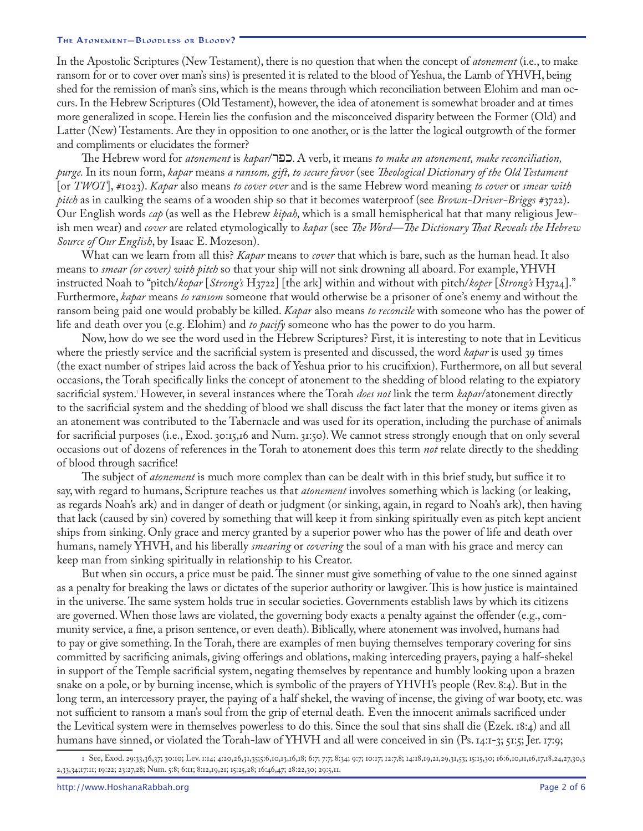In the Apostolic Scriptures (New Testament), there is no question that when the concept of *atonement* (i.e., to make ransom for or to cover over man's sins) is presented it is related to the blood of Yeshua, the Lamb of YHVH, being shed for the remission of man's sins, which is the means through which reconciliation between Elohim and man occurs. In the Hebrew Scriptures (Old Testament), however, the idea of atonement is somewhat broader and at times more generalized in scope. Herein lies the confusion and the misconceived disparity between the Former (Old) and Latter (New) Testaments. Are they in opposition to one another, or is the latter the logical outgrowth of the former and compliments or elucidates the former?

The Hebrew word for *atonement* is *kapar*/RPF. A verb, it means *to make an atonement, make reconciliation, purge.* In its noun form, *kapar* means *a ransom, gift, to secure favor* (see *Theological Dictionary of the Old Testament*  [or *TWOT*], *#*1023). *Kapar* also means *to cover over* and is the same Hebrew word meaning *to cover* or *smear with pitch* as in caulking the seams of a wooden ship so that it becomes waterproof (see *Brown-Driver-Briggs #*3722). Our English words *cap* (as well as the Hebrew *kipah,* which is a small hemispherical hat that many religious Jewish men wear) and *cover* are related etymologically to *kapar* (see *The Word—The Dictionary That Reveals the Hebrew Source of Our English*, by Isaac E. Mozeson).

What can we learn from all this? *Kapar* means to *cover* that which is bare, such as the human head. It also means to *smear (or cover) with pitch* so that your ship will not sink drowning all aboard. For example, YHVH instructed Noah to "pitch/*kopar* [*Strong's* H3722] [the ark] within and without with pitch/*koper* [*Strong's* H3724]." Furthermore, *kapar* means *to ransom* someone that would otherwise be a prisoner of one's enemy and without the ransom being paid one would probably be killed. *Kapar* also means *to reconcile* with someone who has the power of life and death over you (e.g. Elohim) and *to pacify* someone who has the power to do you harm.

Now, how do we see the word used in the Hebrew Scriptures? First, it is interesting to note that in Leviticus where the priestly service and the sacrificial system is presented and discussed, the word *kapar* is used 39 times (the exact number of stripes laid across the back of Yeshua prior to his crucifixion). Furthermore, on all but several occasions, the Torah specifically links the concept of atonement to the shedding of blood relating to the expiatory sacrificial system[.1](#page-1-0) However, in several instances where the Torah *does not* link the term *kapar*/atonement directly to the sacrificial system and the shedding of blood we shall discuss the fact later that the money or items given as an atonement was contributed to the Tabernacle and was used for its operation, including the purchase of animals for sacrificial purposes (i.e., Exod.30:15,16 and Num. 31:50). We cannot stress strongly enough that on only several occasions out of dozens of references in the Torah to atonement does this term *not* relate directly to the shedding of blood through sacrifice!

The subject of *atonement* is much more complex than can be dealt with in this brief study, but suffice it to say, with regard to humans, Scripture teaches us that *atonement* involves something which is lacking (or leaking, as regards Noah's ark) and in danger of death or judgment (or sinking, again, in regard to Noah's ark), then having that lack (caused by sin) covered by something that will keep it from sinking spiritually even as pitch kept ancient ships from sinking. Only grace and mercy granted by a superior power who has the power of life and death over humans, namely YHVH, and his liberally *smearing* or *covering* the soul of a man with his grace and mercy can keep man from sinking spiritually in relationship to his Creator.

But when sin occurs, a price must be paid. The sinner must give something of value to the one sinned against as a penalty for breaking the laws or dictates of the superior authority or lawgiver. This is how justice is maintained in the universe. The same system holds true in secular societies. Governments establish laws by which its citizens are governed. When those laws are violated, the governing body exacts a penalty against the offender (e.g., community service, a fine, a prison sentence, or even death). Biblically, where atonement was involved, humans had to pay or give something. In the Torah, there are examples of men buying themselves temporary covering for sins committed by sacrificing animals, giving offerings and oblations, making interceding prayers, paying a half-shekel in support of the Temple sacrificial system, negating themselves by repentance and humbly looking upon a brazen snake on a pole, or by burning incense, which is symbolic of the prayers of YHVH's people (Rev. 8:4). But in the long term, an intercessory prayer, the paying of a half shekel, the waving of incense, the giving of war booty, etc. was not sufficient to ransom a man's soul from the grip of eternal death. Even the innocent animals sacrificed under the Levitical system were in themselves powerless to do this. Since the soul that sins shall die (Ezek. 18:4) and all humans have sinned, or violated the Torah-law of YHVH and all were conceived in sin (Ps. 14:1-3; 51:5; Jer. 17:9;

<span id="page-1-0"></span><sup>1</sup> See, Exod. 29:33,36,37; 30:10; Lev. 1:14; 4:20,26,31,35;5:6,10,13,16,18; 6:7; 7:7; 8:34; 9:7; 10:17; 12:7,8; 14:18,19,21,29,31,53; 15:15,30; 16:6,10,11,16,17,18,24,27,30,3 2,33,34;17:11; 19:22; 23:27,28; Num. 5:8; 6:11; 8:12,19,21; 15:25,28; 16:46,47; 28:22,30; 29:5,11.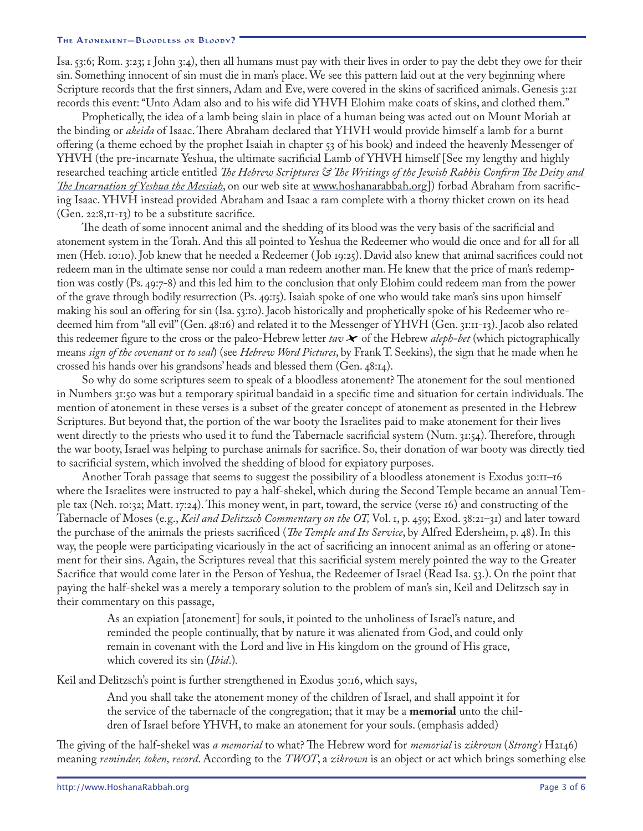Isa.53:6; Rom.3:23; 1 John 3:4), then all humans must pay with their lives in order to pay the debt they owe for their sin. Something innocent of sin must die in man's place. We see this pattern laid out at the very beginning where Scripture records that the first sinners, Adam and Eve, were covered in the skins of sacrificed animals. Genesis 3:21 records this event: "Unto Adam also and to his wife did YHVH Elohim make coats of skins, and clothed them."

Prophetically, the idea of a lamb being slain in place of a human being was acted out on Mount Moriah at the binding or *akeida* of Isaac. There Abraham declared that YHVH would provide himself a lamb for a burnt offering (a theme echoed by the prophet Isaiah in chapter 53 of his book) and indeed the heavenly Messenger of YHVH (the pre-incarnate Yeshua, the ultimate sacrificial Lamb of YHVH himself [See my lengthy and highly researched teaching article entitled *[The Hebrew Scriptures & The Writings of the Jewish Rabbis Confirm The Deity and](http://www.hoshanarabbah.org/pdfs/yeshua_in_ot.pdf)  [The Incarnation of Yeshua the Messiah](http://www.hoshanarabbah.org/pdfs/yeshua_in_ot.pdf)*, on our web site at [www.hoshanarabbah.org\]](http://www.hoshanarabbah.org)) forbad Abraham from sacrificing Isaac. YHVH instead provided Abraham and Isaac a ram complete with a thorny thicket crown on its head  $(Gen. 22:8,II-I3)$  to be a substitute sacrifice.

The death of some innocent animal and the shedding of its blood was the very basis of the sacrificial and atonement system in the Torah. And this all pointed to Yeshua the Redeemer who would die once and for all for all men (Heb. 10:10). Job knew that he needed a Redeemer (Job 19:25). David also knew that animal sacrifices could not redeem man in the ultimate sense nor could a man redeem another man. He knew that the price of man's redemption was costly (Ps. 49:7-8) and this led him to the conclusion that only Elohim could redeem man from the power of the grave through bodily resurrection (Ps. 49:15). Isaiah spoke of one who would take man's sins upon himself making his soul an offering for sin (Isa. 53:10). Jacob historically and prophetically spoke of his Redeemer who redeemed him from "all evil" (Gen. 48:16) and related it to the Messenger of YHVH (Gen. 31:11-13). Jacob also related this redeemer figure to the cross or the paleo-Hebrew letter  $\textit{tav} \star \bullet$  of the Hebrew *aleph-bet* (which pictographically means *sign of the covenant* or *to seal*) (see *Hebrew Word Pictures*, by Frank T. Seekins), the sign that he made when he crossed his hands over his grandsons' heads and blessed them (Gen. 48:14).

So why do some scriptures seem to speak of a bloodless atonement? The atonement for the soul mentioned in Numbers 31:50 was but a temporary spiritual bandaid in a specific time and situation for certain individuals. The mention of atonement in these verses is a subset of the greater concept of atonement as presented in the Hebrew Scriptures. But beyond that, the portion of the war booty the Israelites paid to make atonement for their lives went directly to the priests who used it to fund the Tabernacle sacrificial system (Num. 31:54). Therefore, through the war booty, Israel was helping to purchase animals for sacrifice. So, their donation of war booty was directly tied to sacrificial system, which involved the shedding of blood for expiatory purposes.

Another Torah passage that seems to suggest the possibility of a bloodless atonement is Exodus 30:11–16 where the Israelites were instructed to pay a half-shekel, which during the Second Temple became an annual Temple tax (Neh. 10:32; Matt. 17:24). This money went, in part, toward, the service (verse 16) and constructing of the Tabernacle of Moses (e.g., *Keil and Delitzsch Commentary on the OT,* Vol. 1, p. 459; Exod. 38:21–31) and later toward the purchase of the animals the priests sacrificed (*The Temple and Its Service*, by Alfred Edersheim, p. 48). In this way, the people were participating vicariously in the act of sacrificing an innocent animal as an offering or atonement for their sins. Again, the Scriptures reveal that this sacrificial system merely pointed the way to the Greater Sacrifice that would come later in the Person of Yeshua, the Redeemer of Israel (Read Isa. 53.). On the point that paying the half-shekel was a merely a temporary solution to the problem of man's sin, Keil and Delitzsch say in their commentary on this passage,

As an expiation [atonement] for souls, it pointed to the unholiness of Israel's nature, and reminded the people continually, that by nature it was alienated from God, and could only remain in covenant with the Lord and live in His kingdom on the ground of His grace, which covered its sin (*Ibid*.)*.*

Keil and Delitzsch's point is further strengthened in Exodus 30:16, which says,

And you shall take the atonement money of the children of Israel, and shall appoint it for the service of the tabernacle of the congregation; that it may be a **memorial** unto the children of Israel before YHVH, to make an atonement for your souls. (emphasis added)

The giving of the half-shekel was *a memorial* to what? The Hebrew word for *memorial* is *zikrown* (*Strong's* H2146) meaning *reminder, token, record*. According to the *TWOT*, a *zikrown* is an object or act which brings something else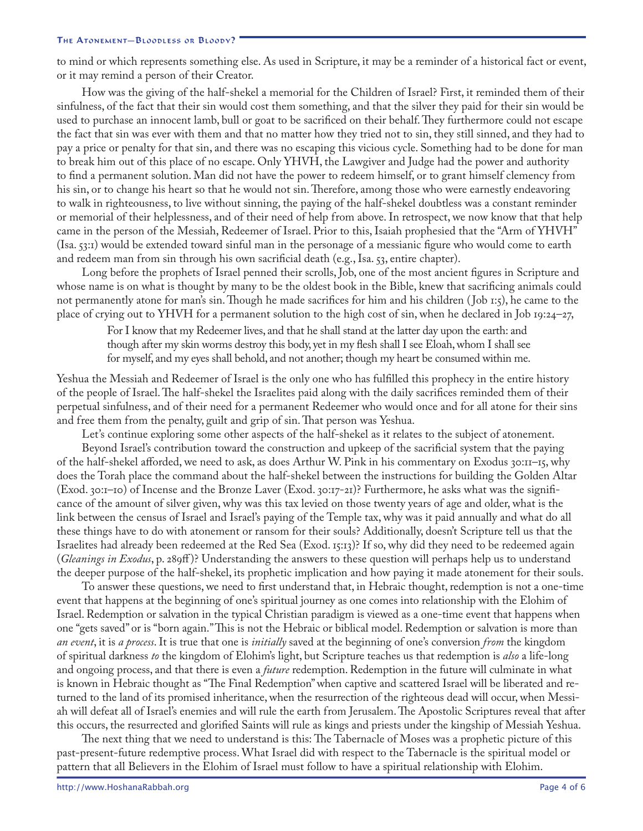to mind or which represents something else. As used in Scripture, it may be a reminder of a historical fact or event, or it may remind a person of their Creator.

How was the giving of the half-shekel a memorial for the Children of Israel? First, it reminded them of their sinfulness, of the fact that their sin would cost them something, and that the silver they paid for their sin would be used to purchase an innocent lamb, bull or goat to be sacrificed on their behalf. They furthermore could not escape the fact that sin was ever with them and that no matter how they tried not to sin, they still sinned, and they had to pay a price or penalty for that sin, and there was no escaping this vicious cycle. Something had to be done for man to break him out of this place of no escape. Only YHVH, the Lawgiver and Judge had the power and authority to find a permanent solution. Man did not have the power to redeem himself, or to grant himself clemency from his sin, or to change his heart so that he would not sin. Therefore, among those who were earnestly endeavoring to walk in righteousness, to live without sinning, the paying of the half-shekel doubtless was a constant reminder or memorial of their helplessness, and of their need of help from above. In retrospect, we now know that that help came in the person of the Messiah, Redeemer of Israel. Prior to this, Isaiah prophesied that the "Arm of YHVH" (Isa. 53:1) would be extended toward sinful man in the personage of a messianic figure who would come to earth and redeem man from sin through his own sacrificial death (e.g., Isa. 53, entire chapter).

Long before the prophets of Israel penned their scrolls, Job, one of the most ancient figures in Scripture and whose name is on what is thought by many to be the oldest book in the Bible, knew that sacrificing animals could not permanently atone for man's sin. Though he made sacrifices for him and his children ( Job 1:5), he came to the place of crying out to YHVH for a permanent solution to the high cost of sin, when he declared in Job 19:24–27,

For I know that my Redeemer lives, and that he shall stand at the latter day upon the earth: and though after my skin worms destroy this body, yet in my flesh shall I see Eloah, whom I shall see for myself, and my eyes shall behold, and not another; though my heart be consumed within me.

Yeshua the Messiah and Redeemer of Israel is the only one who has fulfilled this prophecy in the entire history of the people of Israel. The half-shekel the Israelites paid along with the daily sacrifices reminded them of their perpetual sinfulness, and of their need for a permanent Redeemer who would once and for all atone for their sins and free them from the penalty, guilt and grip of sin. That person was Yeshua.

Let's continue exploring some other aspects of the half-shekel as it relates to the subject of atonement.

Beyond Israel's contribution toward the construction and upkeep of the sacrificial system that the paying of the half-shekel afforded, we need to ask, as does Arthur W. Pink in his commentary on Exodus 30:11–15, why does the Torah place the command about the half-shekel between the instructions for building the Golden Altar (Exod. 30:1–10) of Incense and the Bronze Laver (Exod. 30:17-21)? Furthermore, he asks what was the significance of the amount of silver given, why was this tax levied on those twenty years of age and older, what is the link between the census of Israel and Israel's paying of the Temple tax, why was it paid annually and what do all these things have to do with atonement or ransom for their souls? Additionally, doesn't Scripture tell us that the Israelites had already been redeemed at the Red Sea (Exod. 15:13)? If so, why did they need to be redeemed again (*Gleanings in Exodus*, p. 289ff )? Understanding the answers to these question will perhaps help us to understand the deeper purpose of the half-shekel, its prophetic implication and how paying it made atonement for their souls.

To answer these questions, we need to first understand that, in Hebraic thought, redemption is not a one-time event that happens at the beginning of one's spiritual journey as one comes into relationship with the Elohim of Israel. Redemption or salvation in the typical Christian paradigm is viewed as a one-time event that happens when one "gets saved" or is "born again." This is not the Hebraic or biblical model. Redemption or salvation is more than *an event*, it is *a process*. It is true that one is *initially* saved at the beginning of one's conversion *from* the kingdom of spiritual darkness *to* the kingdom of Elohim's light, but Scripture teaches us that redemption is *also* a life-long and ongoing process, and that there is even a *future* redemption. Redemption in the future will culminate in what is known in Hebraic thought as "The Final Redemption" when captive and scattered Israel will be liberated and returned to the land of its promised inheritance, when the resurrection of the righteous dead will occur, when Messiah will defeat all of Israel's enemies and will rule the earth from Jerusalem. The Apostolic Scriptures reveal that after this occurs, the resurrected and glorified Saints will rule as kings and priests under the kingship of Messiah Yeshua.

The next thing that we need to understand is this: The Tabernacle of Moses was a prophetic picture of this past-present-future redemptive process. What Israel did with respect to the Tabernacle is the spiritual model or pattern that all Believers in the Elohim of Israel must follow to have a spiritual relationship with Elohim.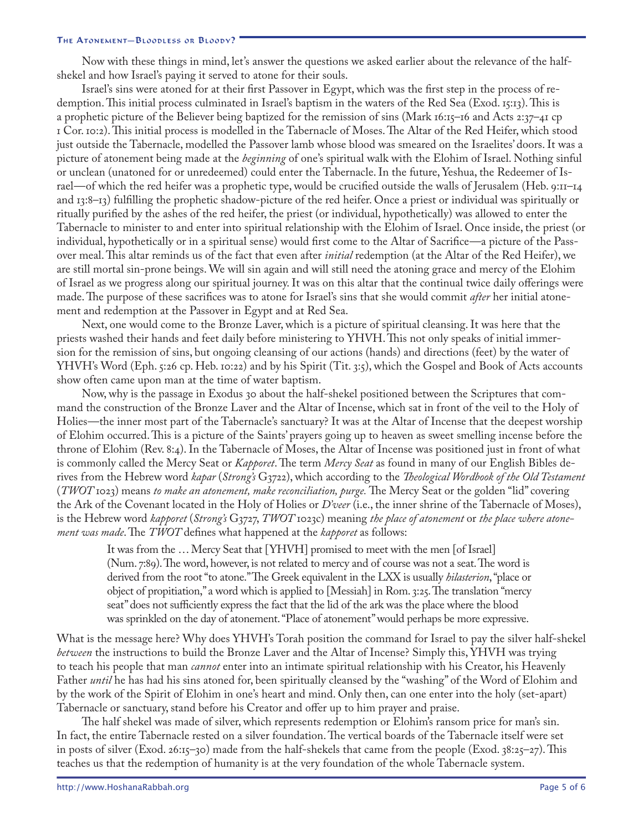Now with these things in mind, let's answer the questions we asked earlier about the relevance of the halfshekel and how Israel's paying it served to atone for their souls.

Israel's sins were atoned for at their first Passover in Egypt, which was the first step in the process of redemption. This initial process culminated in Israel's baptism in the waters of the Red Sea (Exod. 15:13). This is a prophetic picture of the Believer being baptized for the remission of sins (Mark 16:15–16 and Acts 2:37–41 cp 1 Cor. 10:2). This initial process is modelled in the Tabernacle of Moses. The Altar of the Red Heifer, which stood just outside the Tabernacle, modelled the Passover lamb whose blood was smeared on the Israelites' doors. It was a picture of atonement being made at the *beginning* of one's spiritual walk with the Elohim of Israel. Nothing sinful or unclean (unatoned for or unredeemed) could enter the Tabernacle. In the future, Yeshua, the Redeemer of Israel—of which the red heifer was a prophetic type, would be crucified outside the walls of Jerusalem (Heb. 9:11–14 and 13:8–13) fulfilling the prophetic shadow-picture of the red heifer. Once a priest or individual was spiritually or ritually purified by the ashes of the red heifer, the priest (or individual, hypothetically) was allowed to enter the Tabernacle to minister to and enter into spiritual relationship with the Elohim of Israel. Once inside, the priest (or individual, hypothetically or in a spiritual sense) would first come to the Altar of Sacrifice—a picture of the Passover meal. This altar reminds us of the fact that even after *initial* redemption (at the Altar of the Red Heifer), we are still mortal sin-prone beings. We will sin again and will still need the atoning grace and mercy of the Elohim of Israel as we progress along our spiritual journey. It was on this altar that the continual twice daily offerings were made. The purpose of these sacrifices was to atone for Israel's sins that she would commit *after* her initial atonement and redemption at the Passover in Egypt and at Red Sea.

Next, one would come to the Bronze Laver, which is a picture of spiritual cleansing. It was here that the priests washed their hands and feet daily before ministering to YHVH. This not only speaks of initial immersion for the remission of sins, but ongoing cleansing of our actions (hands) and directions (feet) by the water of YHVH's Word (Eph. 5:26 cp. Heb. 10:22) and by his Spirit (Tit. 3:5), which the Gospel and Book of Acts accounts show often came upon man at the time of water baptism.

Now, why is the passage in Exodus 30 about the half-shekel positioned between the Scriptures that command the construction of the Bronze Laver and the Altar of Incense, which sat in front of the veil to the Holy of Holies—the inner most part of the Tabernacle's sanctuary? It was at the Altar of Incense that the deepest worship of Elohim occurred. This is a picture of the Saints' prayers going up to heaven as sweet smelling incense before the throne of Elohim (Rev. 8:4). In the Tabernacle of Moses, the Altar of Incense was positioned just in front of what is commonly called the Mercy Seat or *Kapporet*. The term *Mercy Seat* as found in many of our English Bibles derives from the Hebrew word *kapar* (*Strong's* G3722), which according to the *Theological Wordbook of the Old Testament*  (*TWOT* 1023) means *to make an atonement, make reconciliation, purge.* The Mercy Seat or the golden "lid" covering the Ark of the Covenant located in the Holy of Holies or *D'veer* (i.e., the inner shrine of the Tabernacle of Moses), is the Hebrew word *kapporet* (*Strong's* G3727, *TWOT* 1023c) meaning *the place of atonement* or *the place where atonement was made*. The *TWOT* defines what happened at the *kapporet* as follows:

It was from the … Mercy Seat that [YHVH] promised to meet with the men [of Israel] (Num. 7:89). The word, however, is not related to mercy and of course was not a seat. The word is derived from the root "to atone." The Greek equivalent in the LXX is usually *hilasterion*, "place or object of propitiation," a word which is applied to [Messiah] in Rom. 3:25. The translation "mercy seat" does not sufficiently express the fact that the lid of the ark was the place where the blood was sprinkled on the day of atonement. "Place of atonement" would perhaps be more expressive.

What is the message here? Why does YHVH's Torah position the command for Israel to pay the silver half-shekel *between* the instructions to build the Bronze Laver and the Altar of Incense? Simply this, YHVH was trying to teach his people that man *cannot* enter into an intimate spiritual relationship with his Creator, his Heavenly Father *until* he has had his sins atoned for, been spiritually cleansed by the "washing" of the Word of Elohim and by the work of the Spirit of Elohim in one's heart and mind. Only then, can one enter into the holy (set-apart) Tabernacle or sanctuary, stand before his Creator and offer up to him prayer and praise.

The half shekel was made of silver, which represents redemption or Elohim's ransom price for man's sin. In fact, the entire Tabernacle rested on a silver foundation. The vertical boards of the Tabernacle itself were set in posts of silver (Exod. 26:15–30) made from the half-shekels that came from the people (Exod. 38:25–27). This teaches us that the redemption of humanity is at the very foundation of the whole Tabernacle system.